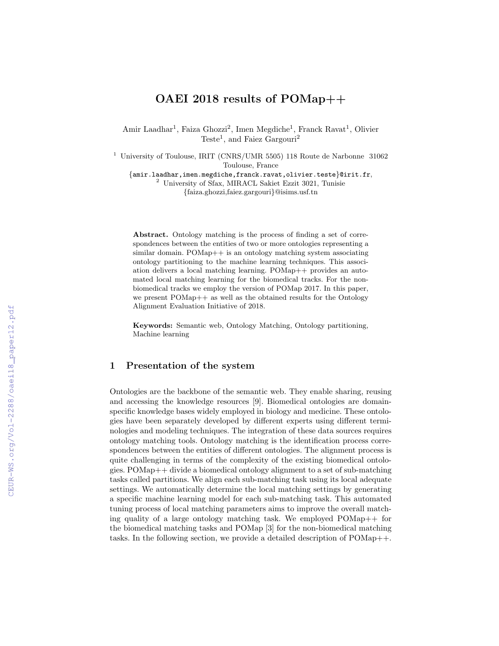# OAEI 2018 results of POMap++

Amir Laadhar<sup>1</sup>, Faiza Ghozzi<sup>2</sup>, Imen Megdiche<sup>1</sup>, Franck Ravat<sup>1</sup>, Olivier Teste<sup>1</sup>, and Faiez Gargouri<sup>2</sup>

<sup>1</sup> University of Toulouse, IRIT (CNRS/UMR 5505) 118 Route de Narbonne 31062 Toulouse, France

{amir.laadhar,imen.megdiche,franck.ravat,olivier.teste}@irit.fr, <sup>2</sup> University of Sfax, MIRACL Sakiet Ezzit 3021, Tunisie

{faiza.ghozzi,faiez.gargouri}@isims.usf.tn

Abstract. Ontology matching is the process of finding a set of correspondences between the entities of two or more ontologies representing a similar domain. POMap++ is an ontology matching system associating ontology partitioning to the machine learning techniques. This association delivers a local matching learning. POMap++ provides an automated local matching learning for the biomedical tracks. For the nonbiomedical tracks we employ the version of POMap 2017. In this paper, we present POMap<sup>++</sup> as well as the obtained results for the Ontology Alignment Evaluation Initiative of 2018.

Keywords: Semantic web, Ontology Matching, Ontology partitioning, Machine learning

### 1 Presentation of the system

Ontologies are the backbone of the semantic web. They enable sharing, reusing and accessing the knowledge resources [9]. Biomedical ontologies are domainspecific knowledge bases widely employed in biology and medicine. These ontologies have been separately developed by different experts using different terminologies and modeling techniques. The integration of these data sources requires ontology matching tools. Ontology matching is the identification process correspondences between the entities of different ontologies. The alignment process is quite challenging in terms of the complexity of the existing biomedical ontologies. POMap++ divide a biomedical ontology alignment to a set of sub-matching tasks called partitions. We align each sub-matching task using its local adequate settings. We automatically determine the local matching settings by generating a specific machine learning model for each sub-matching task. This automated tuning process of local matching parameters aims to improve the overall matching quality of a large ontology matching task. We employed  $POMap++$  for the biomedical matching tasks and POMap [3] for the non-biomedical matching tasks. In the following section, we provide a detailed description of POMap++.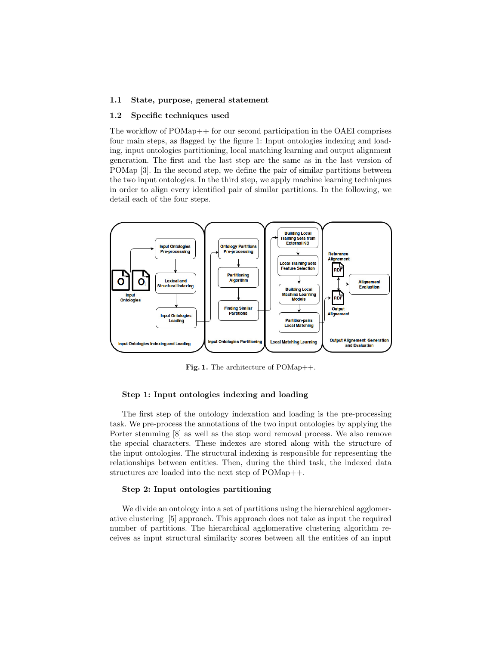### 1.1 State, purpose, general statement

### 1.2 Specific techniques used

The workflow of POMap++ for our second participation in the OAEI comprises four main steps, as flagged by the figure 1: Input ontologies indexing and loading, input ontologies partitioning, local matching learning and output alignment generation. The first and the last step are the same as in the last version of POMap [3]. In the second step, we define the pair of similar partitions between the two input ontologies. In the third step, we apply machine learning techniques in order to align every identified pair of similar partitions. In the following, we detail each of the four steps.



Fig. 1. The architecture of POMap++.

### Step 1: Input ontologies indexing and loading

The first step of the ontology indexation and loading is the pre-processing task. We pre-process the annotations of the two input ontologies by applying the Porter stemming [8] as well as the stop word removal process. We also remove the special characters. These indexes are stored along with the structure of the input ontologies. The structural indexing is responsible for representing the relationships between entities. Then, during the third task, the indexed data structures are loaded into the next step of POMap++.

### Step 2: Input ontologies partitioning

We divide an ontology into a set of partitions using the hierarchical agglomerative clustering [5] approach. This approach does not take as input the required number of partitions. The hierarchical agglomerative clustering algorithm receives as input structural similarity scores between all the entities of an input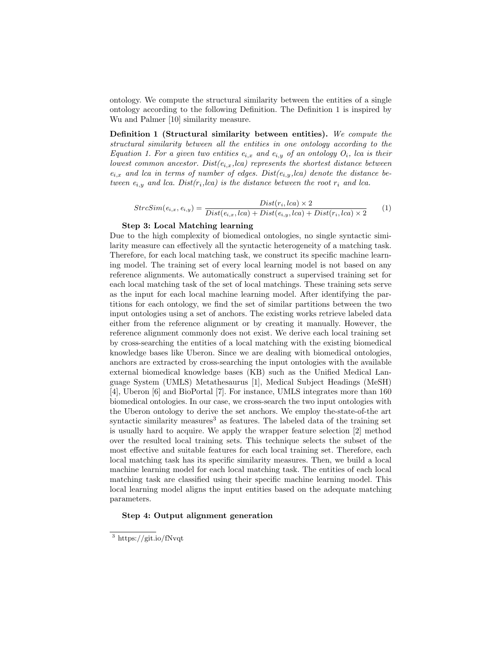ontology. We compute the structural similarity between the entities of a single ontology according to the following Definition. The Definition 1 is inspired by Wu and Palmer [10] similarity measure.

Definition 1 (Structural similarity between entities). We compute the structural similarity between all the entities in one ontology according to the Equation 1. For a given two entities  $e_{i,x}$  and  $e_{i,y}$  of an ontology  $O_i$ , lca is their lowest common ancestor. Dist $(e_{i,x},lca)$  represents the shortest distance between  $e_{i,x}$  and lca in terms of number of edges. Dist $(e_{i,y},lca)$  denote the distance between  $e_{i,y}$  and lca. Dist $(r_i, lca)$  is the distance between the root  $r_i$  and lca.

$$
StrcSim(e_{i,x}, e_{i,y}) = \frac{Dist(r_i, lca) \times 2}{Dist(e_{i,x}, lca) + Dist(e_{i,y}, lca) + Dist(r_i, lca) \times 2}
$$
(1)

### Step 3: Local Matching learning

Due to the high complexity of biomedical ontologies, no single syntactic similarity measure can effectively all the syntactic heterogeneity of a matching task. Therefore, for each local matching task, we construct its specific machine learning model. The training set of every local learning model is not based on any reference alignments. We automatically construct a supervised training set for each local matching task of the set of local matchings. These training sets serve as the input for each local machine learning model. After identifying the partitions for each ontology, we find the set of similar partitions between the two input ontologies using a set of anchors. The existing works retrieve labeled data either from the reference alignment or by creating it manually. However, the reference alignment commonly does not exist. We derive each local training set by cross-searching the entities of a local matching with the existing biomedical knowledge bases like Uberon. Since we are dealing with biomedical ontologies, anchors are extracted by cross-searching the input ontologies with the available external biomedical knowledge bases (KB) such as the Unified Medical Language System (UMLS) Metathesaurus [1], Medical Subject Headings (MeSH) [4], Uberon [6] and BioPortal [7]. For instance, UMLS integrates more than 160 biomedical ontologies. In our case, we cross-search the two input ontologies with the Uberon ontology to derive the set anchors. We employ the-state-of-the art syntactic similarity measures<sup>3</sup> as features. The labeled data of the training set is usually hard to acquire. We apply the wrapper feature selection [2] method over the resulted local training sets. This technique selects the subset of the most effective and suitable features for each local training set. Therefore, each local matching task has its specific similarity measures. Then, we build a local machine learning model for each local matching task. The entities of each local matching task are classified using their specific machine learning model. This local learning model aligns the input entities based on the adequate matching parameters.

### Step 4: Output alignment generation

<sup>3</sup> https://git.io/fNvqt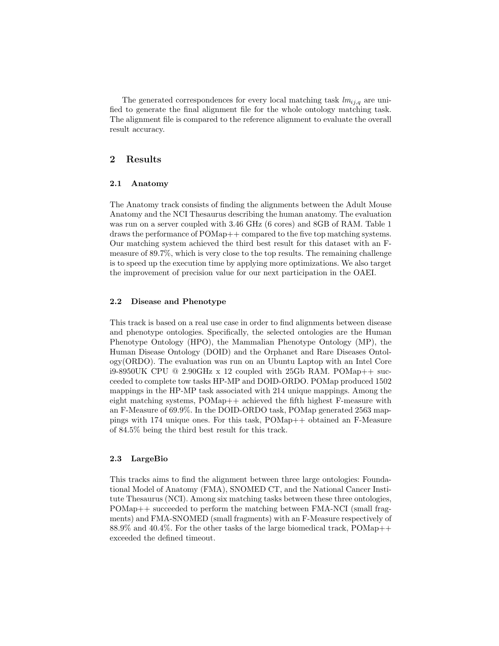The generated correspondences for every local matching task  $lm_{i,j,q}$  are unified to generate the final alignment file for the whole ontology matching task. The alignment file is compared to the reference alignment to evaluate the overall result accuracy.

# 2 Results

#### 2.1 Anatomy

The Anatomy track consists of finding the alignments between the Adult Mouse Anatomy and the NCI Thesaurus describing the human anatomy. The evaluation was run on a server coupled with 3.46 GHz (6 cores) and 8GB of RAM. Table 1 draws the performance of POMap++ compared to the five top matching systems. Our matching system achieved the third best result for this dataset with an Fmeasure of 89.7%, which is very close to the top results. The remaining challenge is to speed up the execution time by applying more optimizations. We also target the improvement of precision value for our next participation in the OAEI.

### 2.2 Disease and Phenotype

This track is based on a real use case in order to find alignments between disease and phenotype ontologies. Specifically, the selected ontologies are the Human Phenotype Ontology (HPO), the Mammalian Phenotype Ontology (MP), the Human Disease Ontology (DOID) and the Orphanet and Rare Diseases Ontology(ORDO). The evaluation was run on an Ubuntu Laptop with an Intel Core i9-8950UK CPU @ 2.90GHz x 12 coupled with 25Gb RAM. POMap++ succeeded to complete tow tasks HP-MP and DOID-ORDO. POMap produced 1502 mappings in the HP-MP task associated with 214 unique mappings. Among the eight matching systems, POMap++ achieved the fifth highest F-measure with an F-Measure of 69.9%. In the DOID-ORDO task, POMap generated 2563 mappings with 174 unique ones. For this task, POMap++ obtained an F-Measure of 84.5% being the third best result for this track.

### 2.3 LargeBio

This tracks aims to find the alignment between three large ontologies: Foundational Model of Anatomy (FMA), SNOMED CT, and the National Cancer Institute Thesaurus (NCI). Among six matching tasks between these three ontologies, POMap++ succeeded to perform the matching between FMA-NCI (small fragments) and FMA-SNOMED (small fragments) with an F-Measure respectively of 88.9% and 40.4%. For the other tasks of the large biomedical track, POMap++ exceeded the defined timeout.